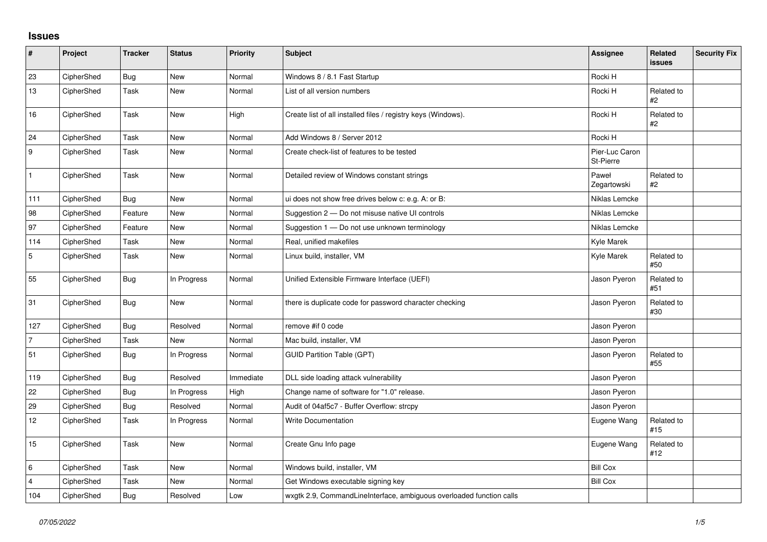## **Issues**

| $\sharp$         | Project    | <b>Tracker</b> | <b>Status</b> | Priority  | Subject                                                              | Assignee                    | Related<br><b>issues</b> | <b>Security Fix</b> |
|------------------|------------|----------------|---------------|-----------|----------------------------------------------------------------------|-----------------------------|--------------------------|---------------------|
| 23               | CipherShed | <b>Bug</b>     | <b>New</b>    | Normal    | Windows 8 / 8.1 Fast Startup                                         | Rocki H                     |                          |                     |
| 13               | CipherShed | Task           | New           | Normal    | List of all version numbers                                          | Rocki H                     | Related to<br>#2         |                     |
| 16               | CipherShed | Task           | New           | High      | Create list of all installed files / registry keys (Windows).        | Rocki H                     | Related to<br>#2         |                     |
| 24               | CipherShed | Task           | <b>New</b>    | Normal    | Add Windows 8 / Server 2012                                          | Rocki H                     |                          |                     |
| $\boldsymbol{9}$ | CipherShed | Task           | <b>New</b>    | Normal    | Create check-list of features to be tested                           | Pier-Luc Caron<br>St-Pierre |                          |                     |
| $\mathbf{1}$     | CipherShed | Task           | New           | Normal    | Detailed review of Windows constant strings                          | Paweł<br>Zegartowski        | Related to<br>#2         |                     |
| 111              | CipherShed | <b>Bug</b>     | New           | Normal    | ui does not show free drives below c: e.g. A: or B:                  | Niklas Lemcke               |                          |                     |
| 98               | CipherShed | Feature        | <b>New</b>    | Normal    | Suggestion 2 - Do not misuse native UI controls                      | Niklas Lemcke               |                          |                     |
| 97               | CipherShed | Feature        | New           | Normal    | Suggestion 1 - Do not use unknown terminology                        | Niklas Lemcke               |                          |                     |
| 114              | CipherShed | Task           | New           | Normal    | Real, unified makefiles                                              | Kyle Marek                  |                          |                     |
| $\overline{5}$   | CipherShed | Task           | <b>New</b>    | Normal    | Linux build, installer, VM                                           | Kyle Marek                  | Related to<br>#50        |                     |
| 55               | CipherShed | <b>Bug</b>     | In Progress   | Normal    | Unified Extensible Firmware Interface (UEFI)                         | Jason Pyeron                | Related to<br>#51        |                     |
| 31               | CipherShed | Bug            | <b>New</b>    | Normal    | there is duplicate code for password character checking              | Jason Pyeron                | Related to<br>#30        |                     |
| 127              | CipherShed | <b>Bug</b>     | Resolved      | Normal    | remove #if 0 code                                                    | Jason Pyeron                |                          |                     |
| $\overline{7}$   | CipherShed | Task           | <b>New</b>    | Normal    | Mac build, installer, VM                                             | Jason Pyeron                |                          |                     |
| 51               | CipherShed | <b>Bug</b>     | In Progress   | Normal    | <b>GUID Partition Table (GPT)</b>                                    | Jason Pyeron                | Related to<br>#55        |                     |
| 119              | CipherShed | <b>Bug</b>     | Resolved      | Immediate | DLL side loading attack vulnerability                                | Jason Pyeron                |                          |                     |
| 22               | CipherShed | Bug            | In Progress   | High      | Change name of software for "1.0" release.                           | Jason Pyeron                |                          |                     |
| 29               | CipherShed | <b>Bug</b>     | Resolved      | Normal    | Audit of 04af5c7 - Buffer Overflow: strcpy                           | Jason Pyeron                |                          |                     |
| 12               | CipherShed | Task           | In Progress   | Normal    | <b>Write Documentation</b>                                           | Eugene Wang                 | Related to<br>#15        |                     |
| 15               | CipherShed | Task           | New           | Normal    | Create Gnu Info page                                                 | Eugene Wang                 | Related to<br>#12        |                     |
| 6                | CipherShed | Task           | New           | Normal    | Windows build, installer, VM                                         | <b>Bill Cox</b>             |                          |                     |
| $\overline{4}$   | CipherShed | Task           | New           | Normal    | Get Windows executable signing key                                   | <b>Bill Cox</b>             |                          |                     |
| 104              | CipherShed | <b>Bug</b>     | Resolved      | Low       | wxgtk 2.9, CommandLineInterface, ambiguous overloaded function calls |                             |                          |                     |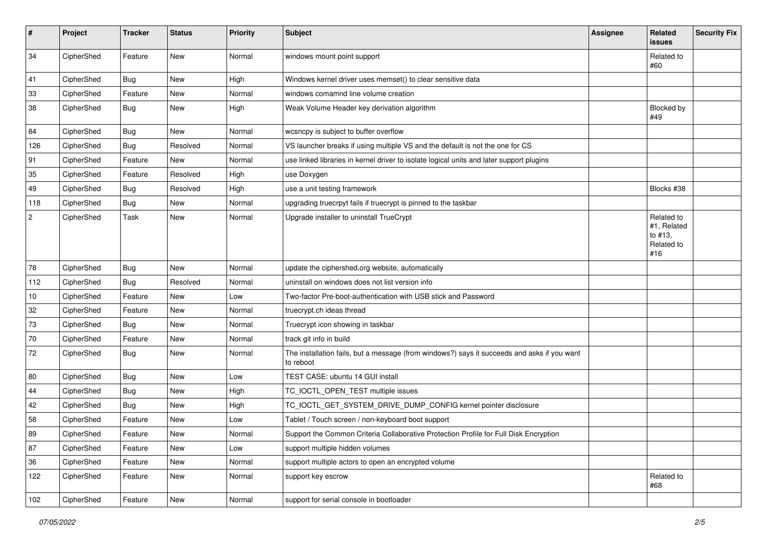| #          | Project    | <b>Tracker</b> | <b>Status</b> | <b>Priority</b> | <b>Subject</b>                                                                                           | <b>Assignee</b> | <b>Related</b><br><b>issues</b>                           | <b>Security Fix</b> |
|------------|------------|----------------|---------------|-----------------|----------------------------------------------------------------------------------------------------------|-----------------|-----------------------------------------------------------|---------------------|
| 34         | CipherShed | Feature        | <b>New</b>    | Normal          | windows mount point support                                                                              |                 | Related to<br>#60                                         |                     |
| 41         | CipherShed | <b>Bug</b>     | New           | High            | Windows kernel driver uses memset() to clear sensitive data                                              |                 |                                                           |                     |
| 33         | CipherShed | Feature        | New           | Normal          | windows comamnd line volume creation                                                                     |                 |                                                           |                     |
| 38         | CipherShed | <b>Bug</b>     | New           | High            | Weak Volume Header key derivation algorithm                                                              |                 | Blocked by<br>#49                                         |                     |
| 84         | CipherShed | Bug            | <b>New</b>    | Normal          | wcsncpy is subject to buffer overflow                                                                    |                 |                                                           |                     |
| 126        | CipherShed | Bug            | Resolved      | Normal          | VS launcher breaks if using multiple VS and the default is not the one for CS                            |                 |                                                           |                     |
| 91         | CipherShed | Feature        | <b>New</b>    | Normal          | use linked libraries in kernel driver to isolate logical units and later support plugins                 |                 |                                                           |                     |
| 35         | CipherShed | Feature        | Resolved      | High            | use Doxygen                                                                                              |                 |                                                           |                     |
| 49         | CipherShed | <b>Bug</b>     | Resolved      | High            | use a unit testing framework                                                                             |                 | Blocks #38                                                |                     |
| 118        | CipherShed | <b>Bug</b>     | New           | Normal          | upgrading truecrpyt fails if truecrypt is pinned to the taskbar                                          |                 |                                                           |                     |
| $\sqrt{2}$ | CipherShed | Task           | New           | Normal          | Upgrade installer to uninstall TrueCrypt                                                                 |                 | Related to<br>#1, Related<br>to #13,<br>Related to<br>#16 |                     |
| 78         | CipherShed | <b>Bug</b>     | <b>New</b>    | Normal          | update the ciphershed.org website, automatically                                                         |                 |                                                           |                     |
| 112        | CipherShed | <b>Bug</b>     | Resolved      | Normal          | uninstall on windows does not list version info                                                          |                 |                                                           |                     |
| 10         | CipherShed | Feature        | <b>New</b>    | Low             | Two-factor Pre-boot-authentication with USB stick and Password                                           |                 |                                                           |                     |
| 32         | CipherShed | Feature        | New           | Normal          | truecrypt.ch ideas thread                                                                                |                 |                                                           |                     |
| 73         | CipherShed | <b>Bug</b>     | New           | Normal          | Truecrypt icon showing in taskbar                                                                        |                 |                                                           |                     |
| 70         | CipherShed | Feature        | New           | Normal          | track git info in build                                                                                  |                 |                                                           |                     |
| 72         | CipherShed | <b>Bug</b>     | New           | Normal          | The installation fails, but a message (from windows?) says it succeeds and asks if you want<br>to reboot |                 |                                                           |                     |
| 80         | CipherShed | <b>Bug</b>     | <b>New</b>    | Low             | TEST CASE: ubuntu 14 GUI install                                                                         |                 |                                                           |                     |
| 44         | CipherShed | <b>Bug</b>     | New           | High            | TC_IOCTL_OPEN_TEST multiple issues                                                                       |                 |                                                           |                     |
| 42         | CipherShed | <b>Bug</b>     | New           | High            | TC_IOCTL_GET_SYSTEM_DRIVE_DUMP_CONFIG kernel pointer disclosure                                          |                 |                                                           |                     |
| 58         | CipherShed | Feature        | New           | Low             | Tablet / Touch screen / non-keyboard boot support                                                        |                 |                                                           |                     |
| 89         | CipherShed | Feature        | New           | Normal          | Support the Common Criteria Collaborative Protection Profile for Full Disk Encryption                    |                 |                                                           |                     |
| 87         | CipherShed | Feature        | New           | Low             | support multiple hidden volumes                                                                          |                 |                                                           |                     |
| 36         | CipherShed | Feature        | New           | Normal          | support multiple actors to open an encrypted volume                                                      |                 |                                                           |                     |
| 122        | CipherShed | Feature        | New           | Normal          | support key escrow                                                                                       |                 | Related to<br>#68                                         |                     |
| 102        | CipherShed | Feature        | New           | Normal          | support for serial console in bootloader                                                                 |                 |                                                           |                     |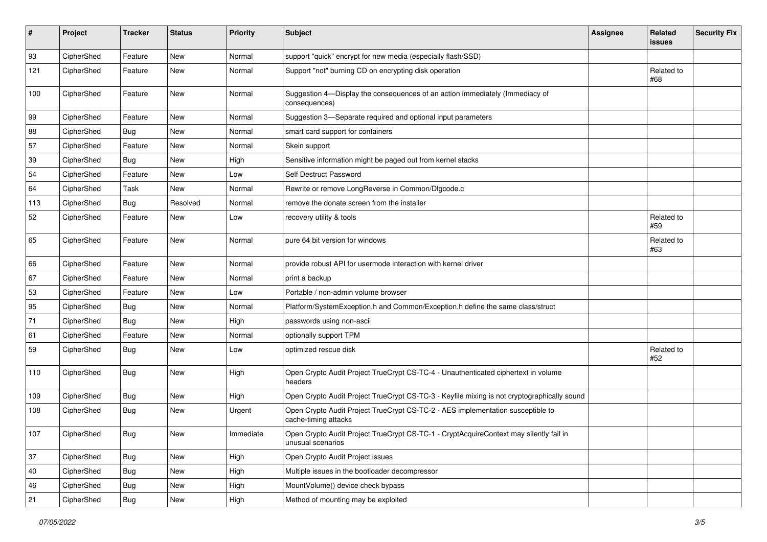| #   | Project    | <b>Tracker</b> | <b>Status</b> | Priority  | <b>Subject</b>                                                                                              | <b>Assignee</b> | <b>Related</b><br><b>issues</b> | <b>Security Fix</b> |
|-----|------------|----------------|---------------|-----------|-------------------------------------------------------------------------------------------------------------|-----------------|---------------------------------|---------------------|
| 93  | CipherShed | Feature        | <b>New</b>    | Normal    | support "quick" encrypt for new media (especially flash/SSD)                                                |                 |                                 |                     |
| 121 | CipherShed | Feature        | New           | Normal    | Support "not" burning CD on encrypting disk operation                                                       |                 | Related to<br>#68               |                     |
| 100 | CipherShed | Feature        | <b>New</b>    | Normal    | Suggestion 4-Display the consequences of an action immediately (Immediacy of<br>consequences)               |                 |                                 |                     |
| 99  | CipherShed | Feature        | New           | Normal    | Suggestion 3-Separate required and optional input parameters                                                |                 |                                 |                     |
| 88  | CipherShed | <b>Bug</b>     | New           | Normal    | smart card support for containers                                                                           |                 |                                 |                     |
| 57  | CipherShed | Feature        | New           | Normal    | Skein support                                                                                               |                 |                                 |                     |
| 39  | CipherShed | Bug            | <b>New</b>    | High      | Sensitive information might be paged out from kernel stacks                                                 |                 |                                 |                     |
| 54  | CipherShed | Feature        | New           | Low       | Self Destruct Password                                                                                      |                 |                                 |                     |
| 64  | CipherShed | Task           | New           | Normal    | Rewrite or remove LongReverse in Common/Dlgcode.c                                                           |                 |                                 |                     |
| 113 | CipherShed | <b>Bug</b>     | Resolved      | Normal    | remove the donate screen from the installer                                                                 |                 |                                 |                     |
| 52  | CipherShed | Feature        | New           | Low       | recovery utility & tools                                                                                    |                 | Related to<br>#59               |                     |
| 65  | CipherShed | Feature        | New           | Normal    | pure 64 bit version for windows                                                                             |                 | Related to<br>#63               |                     |
| 66  | CipherShed | Feature        | New           | Normal    | provide robust API for usermode interaction with kernel driver                                              |                 |                                 |                     |
| 67  | CipherShed | Feature        | New           | Normal    | print a backup                                                                                              |                 |                                 |                     |
| 53  | CipherShed | Feature        | New           | Low       | Portable / non-admin volume browser                                                                         |                 |                                 |                     |
| 95  | CipherShed | <b>Bug</b>     | <b>New</b>    | Normal    | Platform/SystemException.h and Common/Exception.h define the same class/struct                              |                 |                                 |                     |
| 71  | CipherShed | <b>Bug</b>     | New           | High      | passwords using non-ascii                                                                                   |                 |                                 |                     |
| 61  | CipherShed | Feature        | New           | Normal    | optionally support TPM                                                                                      |                 |                                 |                     |
| 59  | CipherShed | <b>Bug</b>     | New           | Low       | optimized rescue disk                                                                                       |                 | Related to<br>#52               |                     |
| 110 | CipherShed | <b>Bug</b>     | New           | High      | Open Crypto Audit Project TrueCrypt CS-TC-4 - Unauthenticated ciphertext in volume<br>headers               |                 |                                 |                     |
| 109 | CipherShed | <b>Bug</b>     | New           | High      | Open Crypto Audit Project TrueCrypt CS-TC-3 - Keyfile mixing is not cryptographically sound                 |                 |                                 |                     |
| 108 | CipherShed | Bug            | <b>New</b>    | Urgent    | Open Crypto Audit Project TrueCrypt CS-TC-2 - AES implementation susceptible to<br>cache-timing attacks     |                 |                                 |                     |
| 107 | CipherShed | Bug            | New           | Immediate | Open Crypto Audit Project TrueCrypt CS-TC-1 - CryptAcquireContext may silently fail in<br>unusual scenarios |                 |                                 |                     |
| 37  | CipherShed | Bug            | New           | High      | Open Crypto Audit Project issues                                                                            |                 |                                 |                     |
| 40  | CipherShed | <b>Bug</b>     | New           | High      | Multiple issues in the bootloader decompressor                                                              |                 |                                 |                     |
| 46  | CipherShed | Bug            | New           | High      | MountVolume() device check bypass                                                                           |                 |                                 |                     |
| 21  | CipherShed | Bug            | New           | High      | Method of mounting may be exploited                                                                         |                 |                                 |                     |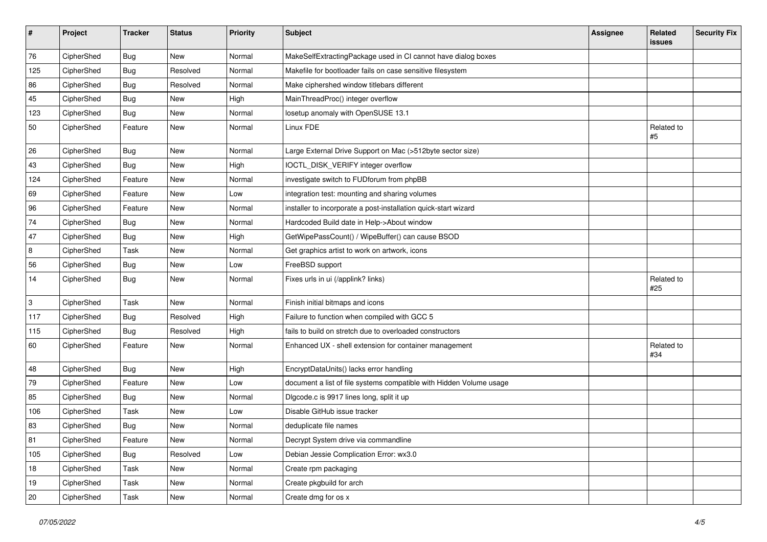| #   | Project    | <b>Tracker</b> | <b>Status</b> | <b>Priority</b> | <b>Subject</b>                                                      | Assignee | Related<br>issues | <b>Security Fix</b> |
|-----|------------|----------------|---------------|-----------------|---------------------------------------------------------------------|----------|-------------------|---------------------|
| 76  | CipherShed | Bug            | New           | Normal          | MakeSelfExtractingPackage used in CI cannot have dialog boxes       |          |                   |                     |
| 125 | CipherShed | <b>Bug</b>     | Resolved      | Normal          | Makefile for bootloader fails on case sensitive filesystem          |          |                   |                     |
| 86  | CipherShed | <b>Bug</b>     | Resolved      | Normal          | Make ciphershed window titlebars different                          |          |                   |                     |
| 45  | CipherShed | <b>Bug</b>     | New           | High            | MainThreadProc() integer overflow                                   |          |                   |                     |
| 123 | CipherShed | Bug            | New           | Normal          | losetup anomaly with OpenSUSE 13.1                                  |          |                   |                     |
| 50  | CipherShed | Feature        | New           | Normal          | Linux FDE                                                           |          | Related to<br>#5  |                     |
| 26  | CipherShed | Bug            | New           | Normal          | Large External Drive Support on Mac (>512byte sector size)          |          |                   |                     |
| 43  | CipherShed | Bug            | New           | High            | IOCTL_DISK_VERIFY integer overflow                                  |          |                   |                     |
| 124 | CipherShed | Feature        | New           | Normal          | investigate switch to FUDforum from phpBB                           |          |                   |                     |
| 69  | CipherShed | Feature        | New           | Low             | integration test: mounting and sharing volumes                      |          |                   |                     |
| 96  | CipherShed | Feature        | <b>New</b>    | Normal          | installer to incorporate a post-installation quick-start wizard     |          |                   |                     |
| 74  | CipherShed | Bug            | New           | Normal          | Hardcoded Build date in Help->About window                          |          |                   |                     |
| 47  | CipherShed | <b>Bug</b>     | New           | High            | GetWipePassCount() / WipeBuffer() can cause BSOD                    |          |                   |                     |
| 8   | CipherShed | Task           | New           | Normal          | Get graphics artist to work on artwork, icons                       |          |                   |                     |
| 56  | CipherShed | Bug            | New           | Low             | FreeBSD support                                                     |          |                   |                     |
| 14  | CipherShed | Bug            | New           | Normal          | Fixes urls in ui (/applink? links)                                  |          | Related to<br>#25 |                     |
| 3   | CipherShed | Task           | New           | Normal          | Finish initial bitmaps and icons                                    |          |                   |                     |
| 117 | CipherShed | <b>Bug</b>     | Resolved      | High            | Failure to function when compiled with GCC 5                        |          |                   |                     |
| 115 | CipherShed | <b>Bug</b>     | Resolved      | High            | fails to build on stretch due to overloaded constructors            |          |                   |                     |
| 60  | CipherShed | Feature        | New           | Normal          | Enhanced UX - shell extension for container management              |          | Related to<br>#34 |                     |
| 48  | CipherShed | <b>Bug</b>     | New           | High            | EncryptDataUnits() lacks error handling                             |          |                   |                     |
| 79  | CipherShed | Feature        | New           | Low             | document a list of file systems compatible with Hidden Volume usage |          |                   |                     |
| 85  | CipherShed | Bug            | New           | Normal          | Digcode.c is 9917 lines long, split it up                           |          |                   |                     |
| 106 | CipherShed | Task           | New           | Low             | Disable GitHub issue tracker                                        |          |                   |                     |
| 83  | CipherShed | Bug            | <b>New</b>    | Normal          | deduplicate file names                                              |          |                   |                     |
| 81  | CipherShed | Feature        | New           | Normal          | Decrypt System drive via commandline                                |          |                   |                     |
| 105 | CipherShed | <b>Bug</b>     | Resolved      | Low             | Debian Jessie Complication Error: wx3.0                             |          |                   |                     |
| 18  | CipherShed | Task           | New           | Normal          | Create rpm packaging                                                |          |                   |                     |
| 19  | CipherShed | Task           | New           | Normal          | Create pkgbuild for arch                                            |          |                   |                     |
| 20  | CipherShed | Task           | New           | Normal          | Create dmg for os x                                                 |          |                   |                     |